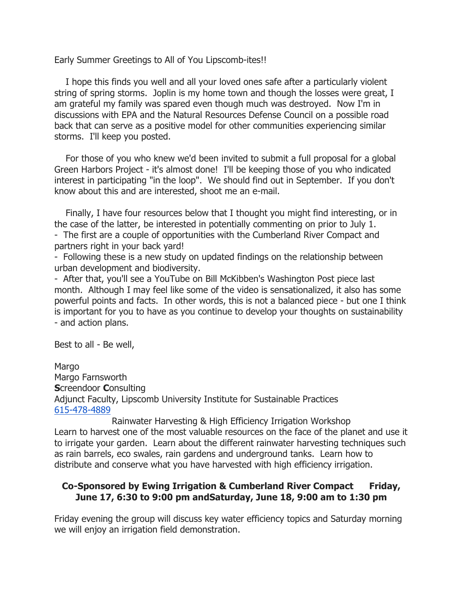Early Summer Greetings to All of You Lipscomb-ites!!

 I hope this finds you well and all your loved ones safe after a particularly violent string of spring storms. Joplin is my home town and though the losses were great, I am grateful my family was spared even though much was destroyed. Now I'm in discussions with EPA and the Natural Resources Defense Council on a possible road back that can serve as a positive model for other communities experiencing similar storms. I'll keep you posted.

 For those of you who knew we'd been invited to submit a full proposal for a global Green Harbors Project - it's almost done! I'll be keeping those of you who indicated interest in participating "in the loop". We should find out in September. If you don't know about this and are interested, shoot me an e-mail.

 Finally, I have four resources below that I thought you might find interesting, or in the case of the latter, be interested in potentially commenting on prior to July 1. - The first are a couple of opportunities with the Cumberland River Compact and partners right in your back yard!

- Following these is a new study on updated findings on the relationship between urban development and biodiversity.

- After that, you'll see a YouTube on Bill McKibben's Washington Post piece last month. Although I may feel like some of the video is sensationalized, it also has some powerful points and facts. In other words, this is not a balanced piece - but one I think is important for you to have as you continue to develop your thoughts on sustainability - and action plans.

Best to all - Be well,

**Margo** Margo Farnsworth Screendoor Consulting Adjunct Faculty, Lipscomb University Institute for Sustainable Practices 615-478-4889

Rainwater Harvesting & High Efficiency Irrigation Workshop Learn to harvest one of the most valuable resources on the face of the planet and use it to irrigate your garden. Learn about the different rainwater harvesting techniques such as rain barrels, eco swales, rain gardens and underground tanks. Learn how to distribute and conserve what you have harvested with high efficiency irrigation.

## Co-Sponsored by Ewing Irrigation & Cumberland River Compact Friday, June 17, 6:30 to 9:00 pm andSaturday, June 18, 9:00 am to 1:30 pm

Friday evening the group will discuss key water efficiency topics and Saturday morning we will enjoy an irrigation field demonstration.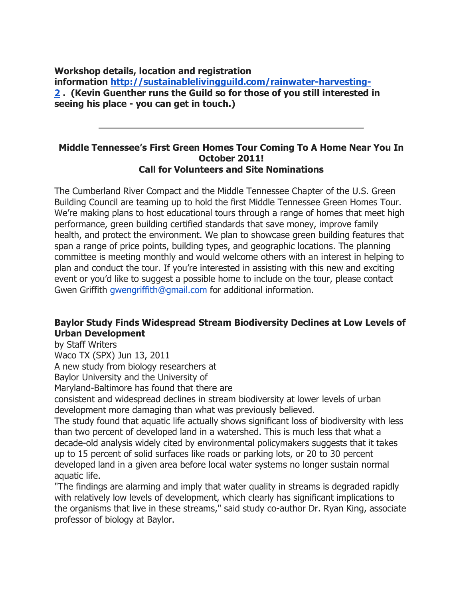Workshop details, location and registration

information http://sustainablelivingguild.com/rainwater-harvesting-2 . (Kevin Guenther runs the Guild so for those of you still interested in seeing his place - you can get in touch.)

### Middle Tennessee's First Green Homes Tour Coming To A Home Near You In October 2011! Call for Volunteers and Site Nominations

The Cumberland River Compact and the Middle Tennessee Chapter of the U.S. Green Building Council are teaming up to hold the first Middle Tennessee Green Homes Tour. We're making plans to host educational tours through a range of homes that meet high performance, green building certified standards that save money, improve family health, and protect the environment. We plan to showcase green building features that span a range of price points, building types, and geographic locations. The planning committee is meeting monthly and would welcome others with an interest in helping to plan and conduct the tour. If you're interested in assisting with this new and exciting event or you'd like to suggest a possible home to include on the tour, please contact Gwen Griffith gwengriffith@gmail.com for additional information.

# Baylor Study Finds Widespread Stream Biodiversity Declines at Low Levels of Urban Development

by Staff Writers

Waco TX (SPX) Jun 13, 2011

A new study from biology researchers at

Baylor University and the University of

Maryland-Baltimore has found that there are

consistent and widespread declines in stream biodiversity at lower levels of urban development more damaging than what was previously believed.

The study found that aquatic life actually shows significant loss of biodiversity with less than two percent of developed land in a watershed. This is much less that what a decade-old analysis widely cited by environmental policymakers suggests that it takes up to 15 percent of solid surfaces like roads or parking lots, or 20 to 30 percent developed land in a given area before local water systems no longer sustain normal aquatic life.

"The findings are alarming and imply that water quality in streams is degraded rapidly with relatively low levels of development, which clearly has significant implications to the organisms that live in these streams," said study co-author Dr. Ryan King, associate professor of biology at Baylor.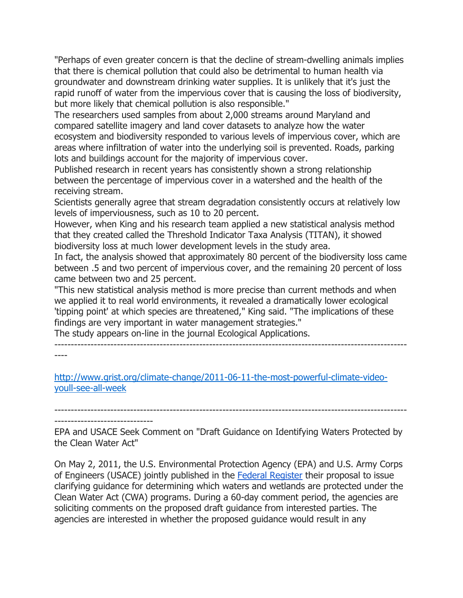"Perhaps of even greater concern is that the decline of stream-dwelling animals implies that there is chemical pollution that could also be detrimental to human health via groundwater and downstream drinking water supplies. It is unlikely that it's just the rapid runoff of water from the impervious cover that is causing the loss of biodiversity, but more likely that chemical pollution is also responsible."

The researchers used samples from about 2,000 streams around Maryland and compared satellite imagery and land cover datasets to analyze how the water ecosystem and biodiversity responded to various levels of impervious cover, which are areas where infiltration of water into the underlying soil is prevented. Roads, parking lots and buildings account for the majority of impervious cover.

Published research in recent years has consistently shown a strong relationship between the percentage of impervious cover in a watershed and the health of the receiving stream.

Scientists generally agree that stream degradation consistently occurs at relatively low levels of imperviousness, such as 10 to 20 percent.

However, when King and his research team applied a new statistical analysis method that they created called the Threshold Indicator Taxa Analysis (TITAN), it showed biodiversity loss at much lower development levels in the study area.

In fact, the analysis showed that approximately 80 percent of the biodiversity loss came between .5 and two percent of impervious cover, and the remaining 20 percent of loss came between two and 25 percent.

"This new statistical analysis method is more precise than current methods and when we applied it to real world environments, it revealed a dramatically lower ecological 'tipping point' at which species are threatened," King said. "The implications of these findings are very important in water management strategies."

The study appears on-line in the journal Ecological Applications.

-----------------------------------------------------------------------------------------------------------

----

http://www.grist.org/climate-change/2011-06-11-the-most-powerful-climate-videoyoull-see-all-week

----------------------------------------------------------------------------------------------------------- ------------------------------

EPA and USACE Seek Comment on "Draft Guidance on Identifying Waters Protected by the Clean Water Act"

On May 2, 2011, the U.S. Environmental Protection Agency (EPA) and U.S. Army Corps of Engineers (USACE) jointly published in the Federal Register their proposal to issue clarifying guidance for determining which waters and wetlands are protected under the Clean Water Act (CWA) programs. During a 60-day comment period, the agencies are soliciting comments on the proposed draft guidance from interested parties. The agencies are interested in whether the proposed guidance would result in any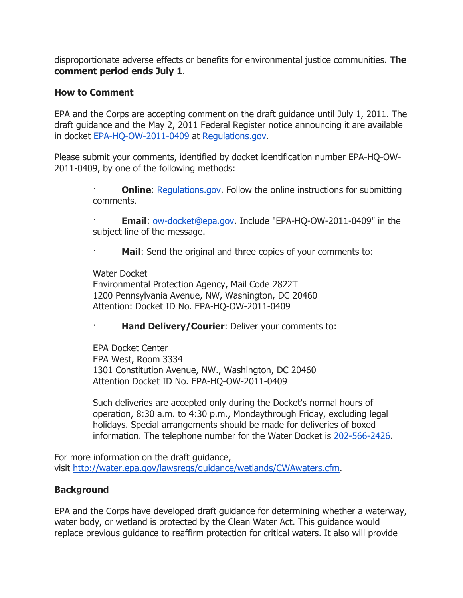disproportionate adverse effects or benefits for environmental justice communities. **The** comment period ends July 1.

# How to Comment

EPA and the Corps are accepting comment on the draft guidance until July 1, 2011. The draft guidance and the May 2, 2011 Federal Register notice announcing it are available in docket EPA-HQ-OW-2011-0409 at Regulations.gov.

Please submit your comments, identified by docket identification number EPA-HQ-OW-2011-0409, by one of the following methods:

> **Online:** Regulations.gov. Follow the online instructions for submitting comments.

> Email: ow-docket@epa.gov. Include "EPA-HQ-OW-2011-0409" in the subject line of the message.

Mail: Send the original and three copies of your comments to:

Water Docket Environmental Protection Agency, Mail Code 2822T 1200 Pennsylvania Avenue, NW, Washington, DC 20460 Attention: Docket ID No. EPA-HQ-OW-2011-0409

Hand Delivery/Courier: Deliver your comments to:

EPA Docket Center EPA West, Room 3334 1301 Constitution Avenue, NW., Washington, DC 20460 Attention Docket ID No. EPA-HQ-OW-2011-0409

Such deliveries are accepted only during the Docket's normal hours of operation, 8:30 a.m. to 4:30 p.m., Mondaythrough Friday, excluding legal holidays. Special arrangements should be made for deliveries of boxed information. The telephone number for the Water Docket is 202-566-2426.

For more information on the draft guidance, visit http://water.epa.gov/lawsregs/guidance/wetlands/CWAwaters.cfm.

## **Background**

EPA and the Corps have developed draft guidance for determining whether a waterway, water body, or wetland is protected by the Clean Water Act. This guidance would replace previous guidance to reaffirm protection for critical waters. It also will provide